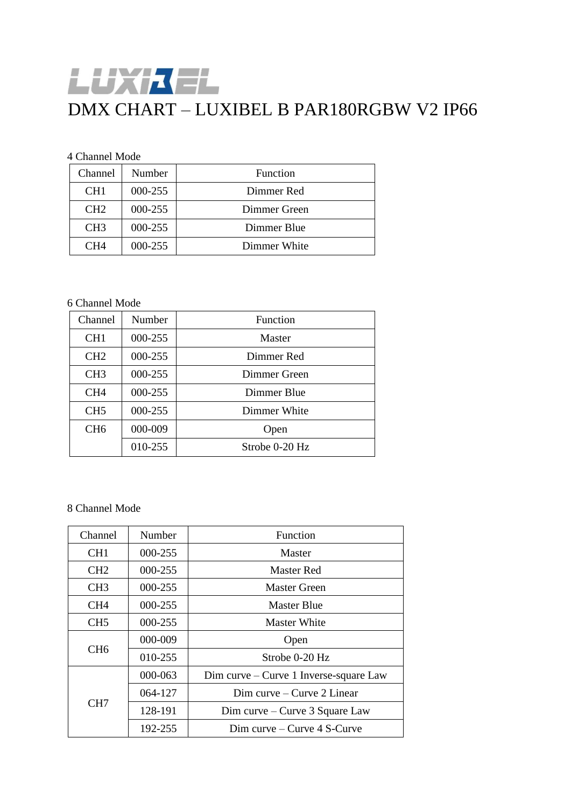# 上步升卡上 DMX CHART – LUXIBEL B PAR180RGBW V2 IP66

### 4 Channel Mode

| Channel         | Number  | Function     |
|-----------------|---------|--------------|
| CH <sub>1</sub> | 000-255 | Dimmer Red   |
| CH2             | 000-255 | Dimmer Green |
| CH <sub>3</sub> | 000-255 | Dimmer Blue  |
| CH4             | 000-255 | Dimmer White |

## 6 Channel Mode

| Channel         | Number  | Function       |
|-----------------|---------|----------------|
| CH <sub>1</sub> | 000-255 | Master         |
| CH2             | 000-255 | Dimmer Red     |
| CH <sub>3</sub> | 000-255 | Dimmer Green   |
| CH <sub>4</sub> | 000-255 | Dimmer Blue    |
| CH <sub>5</sub> | 000-255 | Dimmer White   |
| CH <sub>6</sub> | 000-009 | Open           |
|                 | 010-255 | Strobe 0-20 Hz |

#### 8 Channel Mode

| Channel         | Number  | Function                                 |
|-----------------|---------|------------------------------------------|
| CH <sub>1</sub> | 000-255 | Master                                   |
| CH <sub>2</sub> | 000-255 | Master Red                               |
| CH <sub>3</sub> | 000-255 | Master Green                             |
| CH <sub>4</sub> | 000-255 | Master Blue                              |
| CH <sub>5</sub> | 000-255 | Master White                             |
| CH <sub>6</sub> | 000-009 | Open                                     |
|                 | 010-255 | Strobe 0-20 Hz                           |
| CH7             | 000-063 | $Dim$ curve – Curve 1 Inverse-square Law |
|                 | 064-127 | $Dim$ curve – Curve 2 Linear             |
|                 | 128-191 | Dim curve – Curve 3 Square Law           |
|                 | 192-255 | $Dim$ curve – Curve 4 S-Curve            |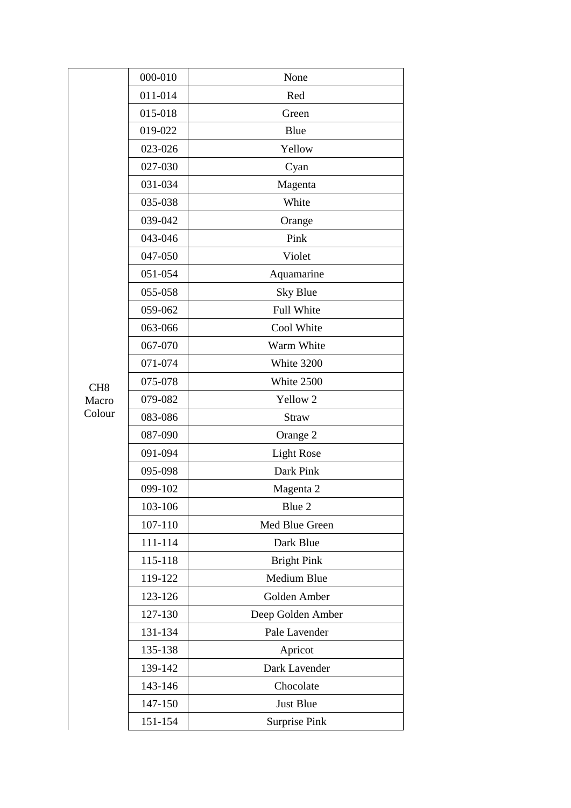|                 | 000-010 | None                 |
|-----------------|---------|----------------------|
|                 | 011-014 | Red                  |
|                 | 015-018 | Green                |
|                 | 019-022 | Blue                 |
|                 | 023-026 | Yellow               |
|                 | 027-030 | Cyan                 |
|                 | 031-034 | Magenta              |
|                 | 035-038 | White                |
|                 | 039-042 | Orange               |
|                 | 043-046 | Pink                 |
|                 | 047-050 | Violet               |
|                 | 051-054 | Aquamarine           |
|                 | 055-058 | Sky Blue             |
|                 | 059-062 | Full White           |
|                 | 063-066 | Cool White           |
|                 | 067-070 | Warm White           |
|                 | 071-074 | White 3200           |
| CH <sub>8</sub> | 075-078 | White 2500           |
| Macro           | 079-082 | Yellow <sub>2</sub>  |
| Colour          | 083-086 | <b>Straw</b>         |
|                 | 087-090 | Orange 2             |
|                 | 091-094 | <b>Light Rose</b>    |
|                 | 095-098 | Dark Pink            |
|                 | 099-102 | Magenta 2            |
|                 | 103-106 | Blue 2               |
|                 | 107-110 | Med Blue Green       |
|                 | 111-114 | Dark Blue            |
|                 | 115-118 | <b>Bright Pink</b>   |
|                 | 119-122 | Medium Blue          |
|                 | 123-126 | Golden Amber         |
|                 | 127-130 | Deep Golden Amber    |
|                 | 131-134 | Pale Lavender        |
|                 | 135-138 | Apricot              |
|                 | 139-142 | Dark Lavender        |
|                 | 143-146 | Chocolate            |
|                 | 147-150 | Just Blue            |
|                 | 151-154 | <b>Surprise Pink</b> |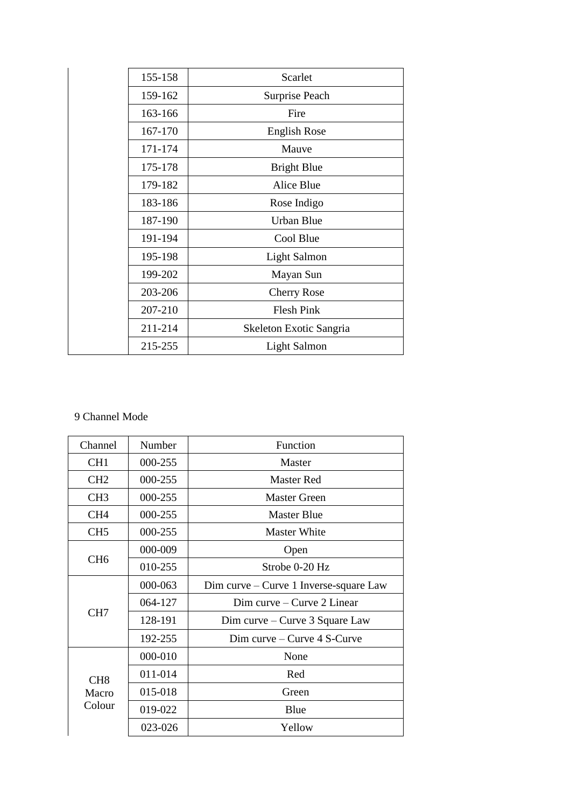| 155-158 | Scarlet                 |
|---------|-------------------------|
| 159-162 | Surprise Peach          |
| 163-166 | Fire                    |
| 167-170 | <b>English Rose</b>     |
| 171-174 | Mauve                   |
| 175-178 | <b>Bright Blue</b>      |
| 179-182 | <b>Alice Blue</b>       |
| 183-186 | Rose Indigo             |
| 187-190 | Urban Blue              |
| 191-194 | Cool Blue               |
| 195-198 | Light Salmon            |
| 199-202 | Mayan Sun               |
| 203-206 | <b>Cherry Rose</b>      |
| 207-210 | <b>Flesh Pink</b>       |
| 211-214 | Skeleton Exotic Sangria |
| 215-255 | Light Salmon            |

# 9 Channel Mode

| Channel                            | Number  | Function                               |
|------------------------------------|---------|----------------------------------------|
| CH <sub>1</sub>                    | 000-255 | <b>Master</b>                          |
| CH <sub>2</sub>                    | 000-255 | <b>Master Red</b>                      |
| CH <sub>3</sub>                    | 000-255 | <b>Master Green</b>                    |
| CH <sub>4</sub>                    | 000-255 | Master Blue                            |
| CH <sub>5</sub>                    | 000-255 | <b>Master White</b>                    |
|                                    | 000-009 | Open                                   |
| CH <sub>6</sub>                    | 010-255 | Strobe 0-20 Hz                         |
|                                    | 000-063 | Dim curve – Curve 1 Inverse-square Law |
|                                    | 064-127 | Dim curve $-$ Curve 2 Linear           |
| CH <sub>7</sub>                    | 128-191 | Dim curve – Curve $3$ Square Law       |
|                                    | 192-255 | Dim curve $-$ Curve $4$ S-Curve        |
| CH <sub>8</sub><br>Macro<br>Colour | 000-010 | None                                   |
|                                    | 011-014 | Red                                    |
|                                    | 015-018 | Green                                  |
|                                    | 019-022 | Blue                                   |
|                                    | 023-026 | Yellow                                 |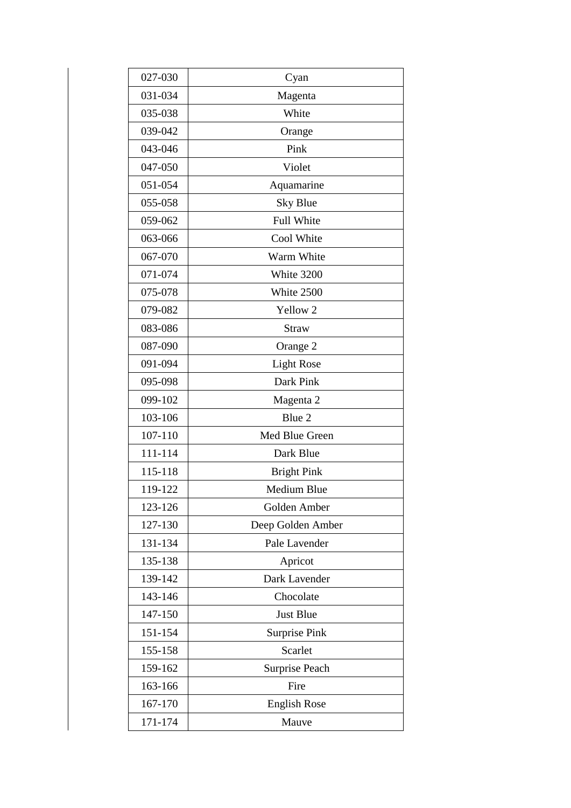| 027-030 | Cyan                 |
|---------|----------------------|
| 031-034 | Magenta              |
| 035-038 | White                |
| 039-042 | Orange               |
| 043-046 | Pink                 |
| 047-050 | Violet               |
| 051-054 | Aquamarine           |
| 055-058 | <b>Sky Blue</b>      |
| 059-062 | Full White           |
| 063-066 | Cool White           |
| 067-070 | Warm White           |
| 071-074 | White 3200           |
| 075-078 | White 2500           |
| 079-082 | Yellow <sub>2</sub>  |
| 083-086 | <b>Straw</b>         |
| 087-090 | Orange 2             |
| 091-094 | <b>Light Rose</b>    |
| 095-098 | Dark Pink            |
| 099-102 | Magenta 2            |
| 103-106 | Blue 2               |
| 107-110 | Med Blue Green       |
| 111-114 | Dark Blue            |
| 115-118 | <b>Bright Pink</b>   |
| 119-122 | <b>Medium Blue</b>   |
| 123-126 | Golden Amber         |
| 127-130 | Deep Golden Amber    |
| 131-134 | Pale Lavender        |
| 135-138 | Apricot              |
| 139-142 | Dark Lavender        |
| 143-146 | Chocolate            |
| 147-150 | <b>Just Blue</b>     |
| 151-154 | <b>Surprise Pink</b> |
| 155-158 | Scarlet              |
| 159-162 | Surprise Peach       |
| 163-166 | Fire                 |
| 167-170 | <b>English Rose</b>  |
| 171-174 | Mauve                |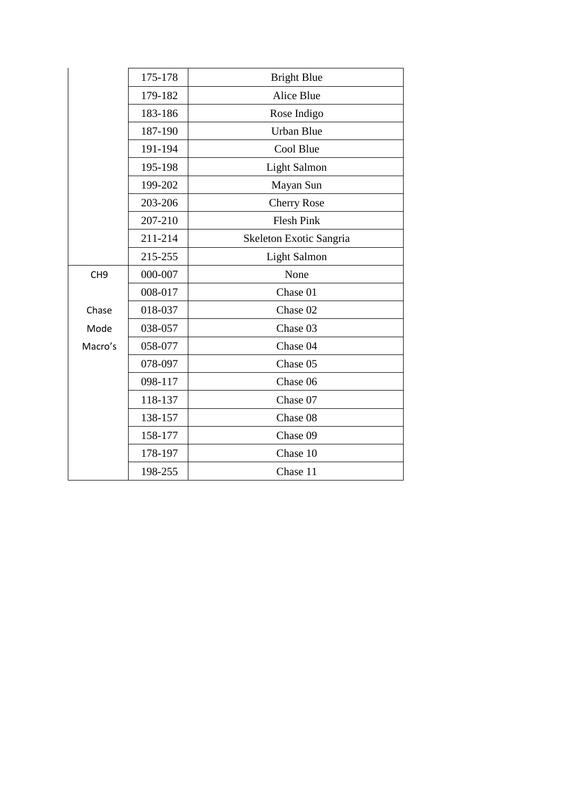|                 | 175-178 | <b>Bright Blue</b>      |
|-----------------|---------|-------------------------|
|                 | 179-182 | <b>Alice Blue</b>       |
|                 | 183-186 | Rose Indigo             |
|                 | 187-190 | <b>Urban Blue</b>       |
|                 | 191-194 | Cool Blue               |
|                 | 195-198 | <b>Light Salmon</b>     |
|                 | 199-202 | Mayan Sun               |
|                 | 203-206 | <b>Cherry Rose</b>      |
|                 | 207-210 | <b>Flesh Pink</b>       |
|                 | 211-214 | Skeleton Exotic Sangria |
|                 | 215-255 | <b>Light Salmon</b>     |
| CH <sub>9</sub> | 000-007 | None                    |
|                 | 008-017 | Chase 01                |
| Chase           | 018-037 | Chase 02                |
| Mode            | 038-057 | Chase 03                |
| Macro's         | 058-077 | Chase 04                |
|                 | 078-097 | Chase 05                |
|                 | 098-117 | Chase 06                |
|                 | 118-137 | Chase 07                |
|                 | 138-157 | Chase 08                |
|                 | 158-177 | Chase 09                |
|                 | 178-197 | Chase 10                |
|                 | 198-255 | Chase 11                |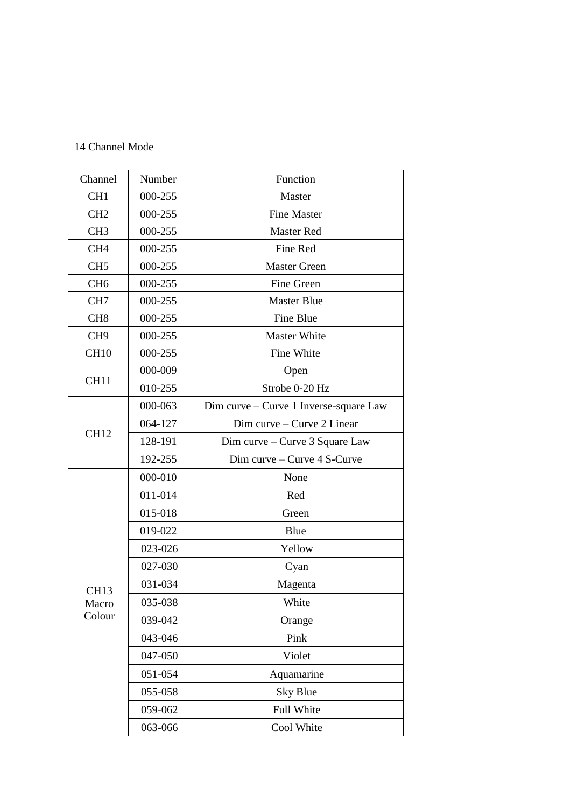# 14 Channel Mode

| Channel          | Number  | Function                               |
|------------------|---------|----------------------------------------|
| CH <sub>1</sub>  | 000-255 | Master                                 |
| CH <sub>2</sub>  | 000-255 | <b>Fine Master</b>                     |
| CH <sub>3</sub>  | 000-255 | <b>Master Red</b>                      |
| CH <sub>4</sub>  | 000-255 | Fine Red                               |
| CH <sub>5</sub>  | 000-255 | Master Green                           |
| CH <sub>6</sub>  | 000-255 | Fine Green                             |
| CH <sub>7</sub>  | 000-255 | <b>Master Blue</b>                     |
| CH <sub>8</sub>  | 000-255 | Fine Blue                              |
| CH <sub>9</sub>  | 000-255 | <b>Master White</b>                    |
| <b>CH10</b>      | 000-255 | Fine White                             |
|                  | 000-009 | Open                                   |
| CH11             | 010-255 | Strobe 0-20 Hz                         |
|                  | 000-063 | Dim curve – Curve 1 Inverse-square Law |
|                  | 064-127 | Dim curve - Curve 2 Linear             |
| <b>CH12</b>      | 128-191 | Dim curve – Curve 3 Square Law         |
|                  | 192-255 | Dim curve $-$ Curve $4$ S-Curve        |
|                  | 000-010 | None                                   |
|                  | 011-014 | Red                                    |
|                  | 015-018 | Green                                  |
|                  | 019-022 | Blue                                   |
|                  | 023-026 | Yellow                                 |
|                  | 027-030 | Cyan                                   |
| CH <sub>13</sub> | 031-034 | Magenta                                |
| Macro            | 035-038 | White                                  |
| Colour           | 039-042 | Orange                                 |
|                  | 043-046 | Pink                                   |
|                  | 047-050 | Violet                                 |
|                  | 051-054 | Aquamarine                             |
|                  | 055-058 | <b>Sky Blue</b>                        |
|                  | 059-062 | Full White                             |
|                  | 063-066 | Cool White                             |
|                  |         |                                        |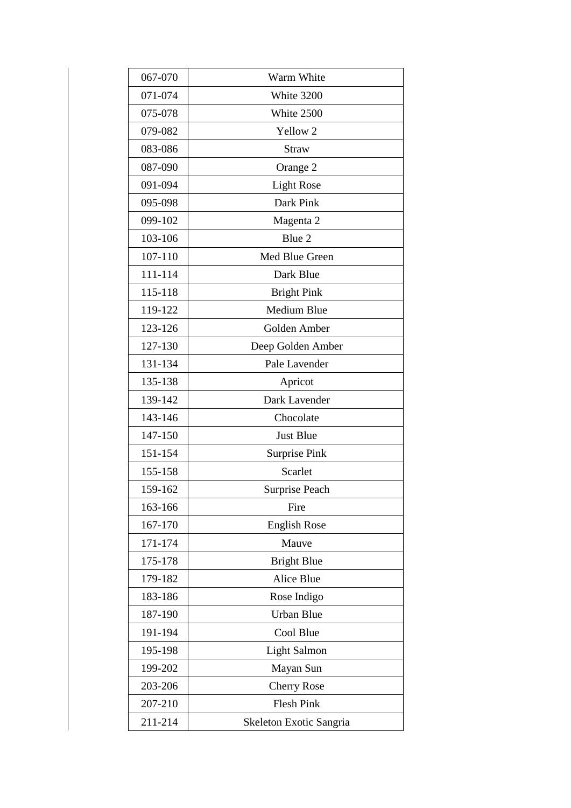| 067-070 | Warm White              |
|---------|-------------------------|
| 071-074 | White 3200              |
| 075-078 | White 2500              |
| 079-082 | Yellow <sub>2</sub>     |
| 083-086 | <b>Straw</b>            |
| 087-090 | Orange 2                |
| 091-094 | <b>Light Rose</b>       |
| 095-098 | Dark Pink               |
| 099-102 | Magenta 2               |
| 103-106 | Blue 2                  |
| 107-110 | Med Blue Green          |
| 111-114 | Dark Blue               |
| 115-118 | <b>Bright Pink</b>      |
| 119-122 | Medium Blue             |
| 123-126 | Golden Amber            |
| 127-130 | Deep Golden Amber       |
| 131-134 | Pale Lavender           |
| 135-138 | Apricot                 |
| 139-142 | Dark Lavender           |
| 143-146 | Chocolate               |
| 147-150 | <b>Just Blue</b>        |
| 151-154 | <b>Surprise Pink</b>    |
| 155-158 | Scarlet                 |
| 159-162 | Surprise Peach          |
| 163-166 | Fire                    |
| 167-170 | <b>English Rose</b>     |
| 171-174 | Mauve                   |
| 175-178 | <b>Bright Blue</b>      |
| 179-182 | <b>Alice Blue</b>       |
| 183-186 | Rose Indigo             |
| 187-190 | <b>Urban Blue</b>       |
| 191-194 | Cool Blue               |
| 195-198 | <b>Light Salmon</b>     |
| 199-202 | Mayan Sun               |
| 203-206 | <b>Cherry Rose</b>      |
| 207-210 | <b>Flesh Pink</b>       |
| 211-214 | Skeleton Exotic Sangria |